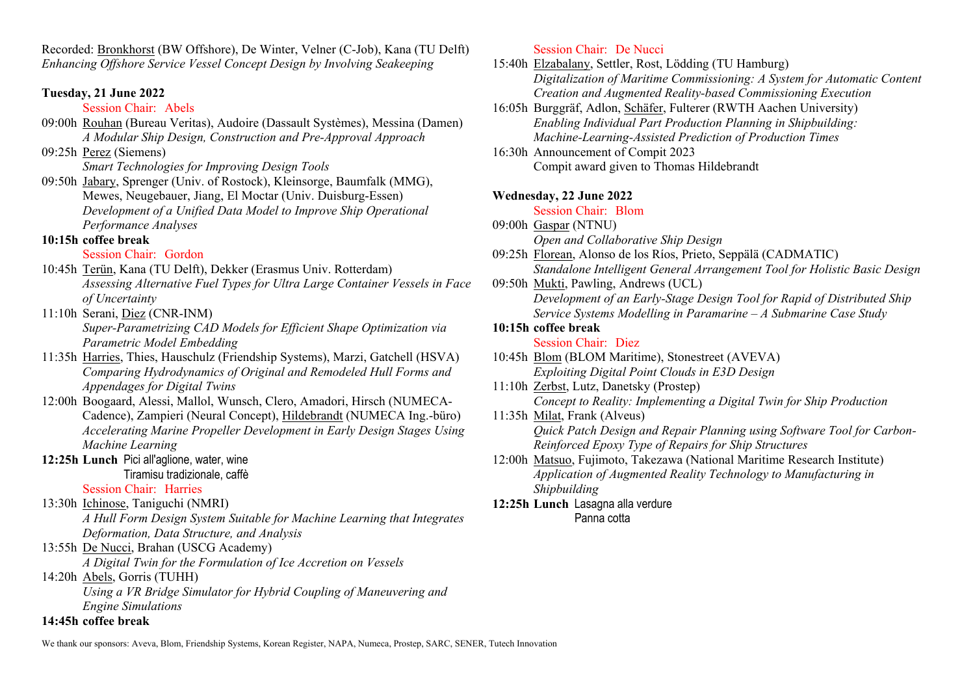Recorded: Bronkhorst (BW Offshore), De Winter, Velner (C-Job), Kana (TU Delft) *Enhancing Offshore Service Vessel Concept Design by Involving Seakeeping*

# **Tuesday, 21 June 2022**

### Session Chair: Abels

09:00h Rouhan (Bureau Veritas), Audoire (Dassault Systèmes), Messina (Damen) *A Modular Ship Design, Construction and Pre-Approval Approach*

09:25h Perez (Siemens)

*Smart Technologies for Improving Design Tools*

09:50h Jabary, Sprenger (Univ. of Rostock), Kleinsorge, Baumfalk (MMG), Mewes, Neugebauer, Jiang, El Moctar (Univ. Duisburg-Essen) *Development of a Unified Data Model to Improve Ship Operational Performance Analyses*

# **10:15h coffee break**

# Session Chair: Gordon

10:45h Terün, Kana (TU Delft), Dekker (Erasmus Univ. Rotterdam) *Assessing Alternative Fuel Types for Ultra Large Container Vessels in Face of Uncertainty*

# 11:10h Serani, Diez (CNR-INM)

*Super-Parametrizing CAD Models for Efficient Shape Optimization via Parametric Model Embedding*

- 11:35h Harries, Thies, Hauschulz (Friendship Systems), Marzi, Gatchell (HSVA) *Comparing Hydrodynamics of Original and Remodeled Hull Forms and Appendages for Digital Twins*
- 12:00h Boogaard, Alessi, Mallol, Wunsch, Clero, Amadori, Hirsch (NUMECA-Cadence), Zampieri (Neural Concept), Hildebrandt (NUMECA Ing.-büro) *Accelerating Marine Propeller Development in Early Design Stages Using Machine Learning*

#### **12:25h Lunch** Pici all'aglione, water, wine Tiramisu tradizionale, caffè

# Session Chair: Harries

13:30h Ichinose, Taniguchi (NMRI)

*A Hull Form Design System Suitable for Machine Learning that Integrates Deformation, Data Structure, and Analysis*

# 13:55h De Nucci, Brahan (USCG Academy)

*A Digital Twin for the Formulation of Ice Accretion on Vessels*

### 14:20h Abels, Gorris (TUHH)

*Using a VR Bridge Simulator for Hybrid Coupling of Maneuvering and Engine Simulations*

# **14:45h coffee break**

### Session Chair: De Nucci

15:40h Elzabalany, Settler, Rost, Lödding (TU Hamburg) *Digitalization of Maritime Commissioning: A System for Automatic Content Creation and Augmented Reality-based Commissioning Execution* 

16:05h Burggräf, Adlon, Schäfer, Fulterer (RWTH Aachen University) *Enabling Individual Part Production Planning in Shipbuilding: Machine-Learning-Assisted Prediction of Production Times*

16:30h Announcement of Compit 2023 Compit award given to Thomas Hildebrandt

# **Wednesday, 22 June 2022**

### Session Chair: Blom

09:00h Gaspar (NTNU)

*Open and Collaborative Ship Design*

09:25h Florean, Alonso de los Ríos, Prieto, Seppälä (CADMATIC) *Standalone Intelligent General Arrangement Tool for Holistic Basic Design*

09:50h Mukti, Pawling, Andrews (UCL)

*Development of an Early-Stage Design Tool for Rapid of Distributed Ship Service Systems Modelling in Paramarine – A Submarine Case Study*

# **10:15h coffee break**

### Session Chair: Diez

10:45h Blom (BLOM Maritime), Stonestreet (AVEVA) *Exploiting Digital Point Clouds in E3D Design*

11:10h Zerbst, Lutz, Danetsky (Prostep)

*Concept to Reality: Implementing a Digital Twin for Ship Production*

- 11:35h Milat, Frank (Alveus) *Quick Patch Design and Repair Planning using Software Tool for Carbon-Reinforced Epoxy Type of Repairs for Ship Structures*
- 12:00h Matsuo, Fujimoto, Takezawa (National Maritime Research Institute) *Application of Augmented Reality Technology to Manufacturing in Shipbuilding*

#### **12:25h Lunch** Lasagna alla verdure Panna cotta

We thank our sponsors: Aveva, Blom, Friendship Systems, Korean Register, NAPA, Numeca, Prostep, SARC, SENER, Tutech Innovation